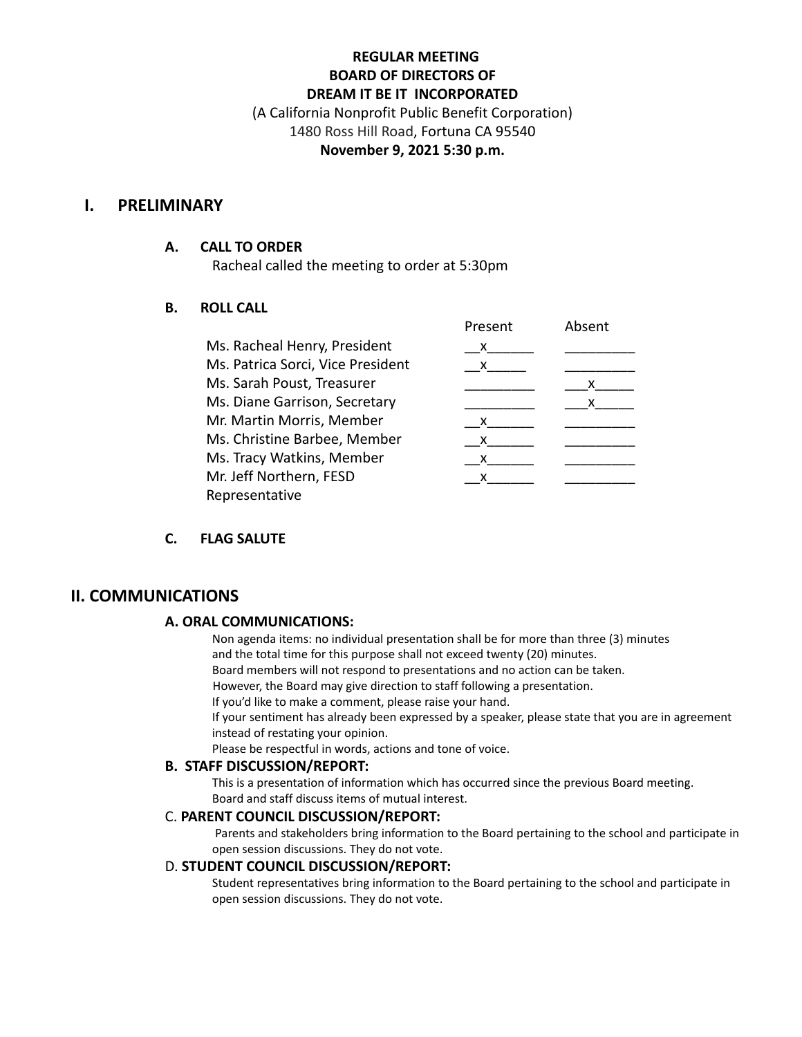# **REGULAR MEETING BOARD OF DIRECTORS OF DREAM IT BE IT INCORPORATED**

(A California Nonprofit Public Benefit Corporation) 1480 Ross Hill Road, Fortuna CA 95540 **November 9, 2021 5:30 p.m.**

### **I. PRELIMINARY**

#### **A. CALL TO ORDER**

Racheal called the meeting to order at 5:30pm

### **B. ROLL CALL**

|                                   | Present | Absent |
|-----------------------------------|---------|--------|
| Ms. Racheal Henry, President      | X.      |        |
| Ms. Patrica Sorci, Vice President | X.      |        |
| Ms. Sarah Poust, Treasurer        |         | x      |
| Ms. Diane Garrison, Secretary     |         | x      |
| Mr. Martin Morris, Member         | x       |        |
| Ms. Christine Barbee, Member      | x       |        |
| Ms. Tracy Watkins, Member         | x       |        |
| Mr. Jeff Northern, FESD           | x       |        |
| Representative                    |         |        |

### **C. FLAG SALUTE**

### **II. COMMUNICATIONS**

#### **A. ORAL COMMUNICATIONS:**

Non agenda items: no individual presentation shall be for more than three (3) minutes and the total time for this purpose shall not exceed twenty (20) minutes.

Board members will not respond to presentations and no action can be taken.

However, the Board may give direction to staff following a presentation.

If you'd like to make a comment, please raise your hand.

If your sentiment has already been expressed by a speaker, please state that you are in agreement instead of restating your opinion.

Please be respectful in words, actions and tone of voice.

#### **B. STAFF DISCUSSION/REPORT:**

This is a presentation of information which has occurred since the previous Board meeting. Board and staff discuss items of mutual interest.

#### C. **PARENT COUNCIL DISCUSSION/REPORT:**

Parents and stakeholders bring information to the Board pertaining to the school and participate in open session discussions. They do not vote.

#### D. **STUDENT COUNCIL DISCUSSION/REPORT:**

Student representatives bring information to the Board pertaining to the school and participate in open session discussions. They do not vote.